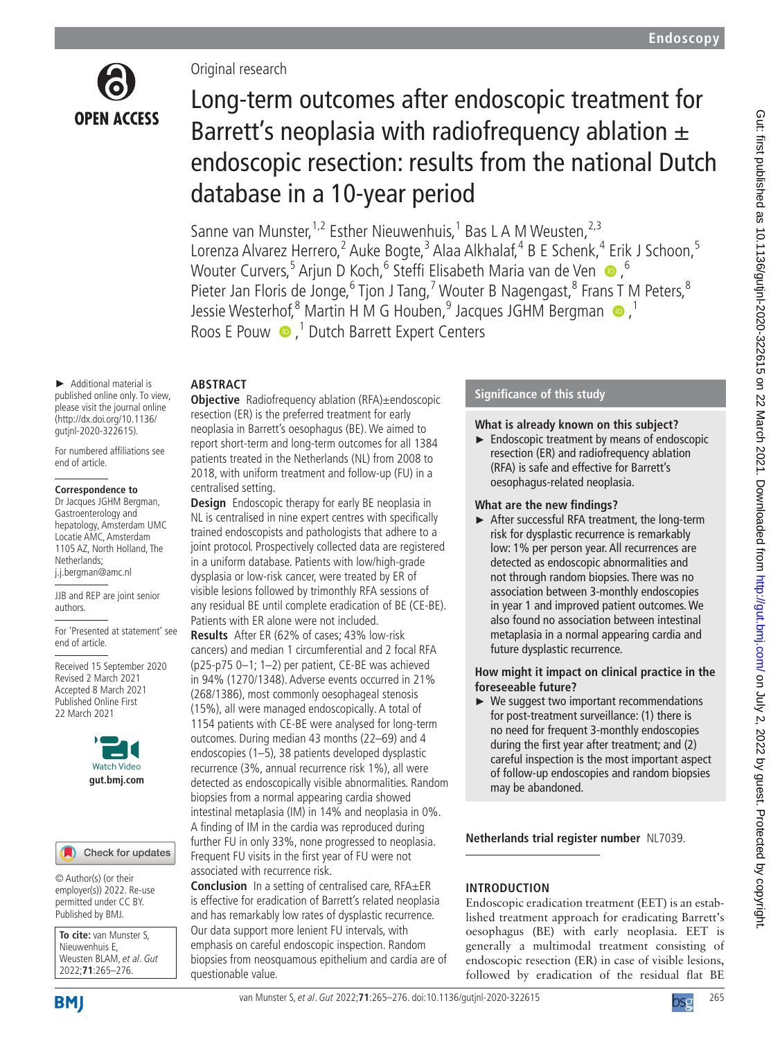

# Original research

# Long-term outcomes after endoscopic treatment for Barrett's neoplasia with radiofrequency ablation  $\pm$ endoscopic resection: results from the national Dutch database in a 10-year period

Sanne van Munster,<sup>1,2</sup> Esther Nieuwenhuis,<sup>1</sup> Bas L A M Weusten,<sup>2,3</sup> Lorenza Alvarez Herrero,<sup>2</sup> Auke Bogte,<sup>3</sup> Alaa Alkhalaf,<sup>4</sup> B E Schenk,<sup>4</sup> Erik J Schoon,<sup>5</sup> WouterCurvers,<sup>5</sup> Arjun D Koch,<sup>6</sup> Steffi Elisabeth Maria van de Ven ®,<sup>6</sup> Pieter Jan Floris de Jonge, <sup>6</sup> Tjon J Tang, <sup>7</sup> Wouter B Nagengast, <sup>8</sup> Frans T M Peters, <sup>8</sup> JessieWesterhof, <sup>8</sup> Martin H M G Houben, <sup>9</sup> Jacques JGHM Bergman <sup>1</sup> Roos E Pouw  $\bullet$ ,<sup>1</sup> Dutch Barrett Expert Centers

# **ABSTRACT**

► Additional material is published online only. To view, please visit the journal online (http://dx.doi.org/10.1136/ gutjnl-2020-322615).

For numbered affiliations see end of article.

#### **Correspondence to**

Dr Jacques JGHM Bergman, Gastroenterology and hepatology, Amsterdam UMC Locatie AMC, Amsterdam 1105 AZ, North Holland, The Netherlands; j.j.bergman@amc.nl

JJB and REP are joint senior authors.

For 'Presented at statement' see end of article.

Received 15 September 2020 Revised 2 March 2021 Accepted 8 March 2021 Published Online First 22 March 2021



Check for updates

© Author(s) (or their employer(s)) 2022. Re-use permitted under CC BY. Published by BMJ.

**To cite:** van Munster S, Nieuwenhuis E, Weusten BLAM, et al. Gut 2022;**71**:265–276.

**BMI** 

## **Objective** Radiofrequency ablation (RFA)±endoscopic resection (ER) is the preferred treatment for early neoplasia in Barrett's oesophagus (BE). We aimed to report short-term and long-term outcomes for all 1384 patients treated in the Netherlands (NL) from 2008 to 2018, with uniform treatment and follow-up (FU) in a centralised setting.

**Design** Endoscopic therapy for early BE neoplasia in NL is centralised in nine expert centres with specifically trained endoscopists and pathologists that adhere to a joint protocol. Prospectively collected data are registered in a uniform database. Patients with low/high-grade dysplasia or low-risk cancer, were treated by ER of visible lesions followed by trimonthly RFA sessions of any residual BE until complete eradication of BE (CE-BE). Patients with ER alone were not included.

**Results** After ER (62% of cases; 43% low-risk cancers) and median 1 circumferential and 2 focal RFA (p25-p75 0–1; 1–2) per patient, CE-BE was achieved in 94% (1270/1348). Adverse events occurred in 21% (268/1386), most commonly oesophageal stenosis (15%), all were managed endoscopically. A total of 1154 patients with CE-BE were analysed for long-term outcomes. During median 43 months (22–69) and 4 endoscopies (1–5), 38 patients developed dysplastic recurrence (3%, annual recurrence risk 1%), all were detected as endoscopically visible abnormalities. Random biopsies from a normal appearing cardia showed intestinal metaplasia (IM) in 14% and neoplasia in 0%. A finding of IM in the cardia was reproduced during further FU in only 33%, none progressed to neoplasia. Frequent FU visits in the first year of FU were not associated with recurrence risk.

**Conclusion** In a setting of centralised care, RFA±ER is effective for eradication of Barrett's related neoplasia and has remarkably low rates of dysplastic recurrence. Our data support more lenient FU intervals, with emphasis on careful endoscopic inspection. Random biopsies from neosquamous epithelium and cardia are of questionable value.

# **Significance of this study**

## **What is already known on this subject?**

► Endoscopic treatment by means of endoscopic resection (ER) and radiofrequency ablation (RFA) is safe and effective for Barrett's oesophagus-related neoplasia.

## **What are the new findings?**

► After successful RFA treatment, the long-term risk for dysplastic recurrence is remarkably low: 1% per person year. All recurrences are detected as endoscopic abnormalities and not through random biopsies. There was no association between 3-monthly endoscopies in year 1 and improved patient outcomes. We also found no association between intestinal metaplasia in a normal appearing cardia and future dysplastic recurrence.

## **How might it impact on clinical practice in the foreseeable future?**

► We suggest two important recommendations for post-treatment surveillance: (1) there is no need for frequent 3-monthly endoscopies during the first year after treatment; and (2) careful inspection is the most important aspect of follow-up endoscopies and random biopsies may be abandoned.

**Netherlands trial register number** NL7039.

# **INTRODUCTION**

Endoscopic eradication treatment (EET) is an established treatment approach for eradicating Barrett's oesophagus (BE) with early neoplasia. EET is generally a multimodal treatment consisting of endoscopic resection (ER) in case of visible lesions, followed by eradication of the residual flat BE

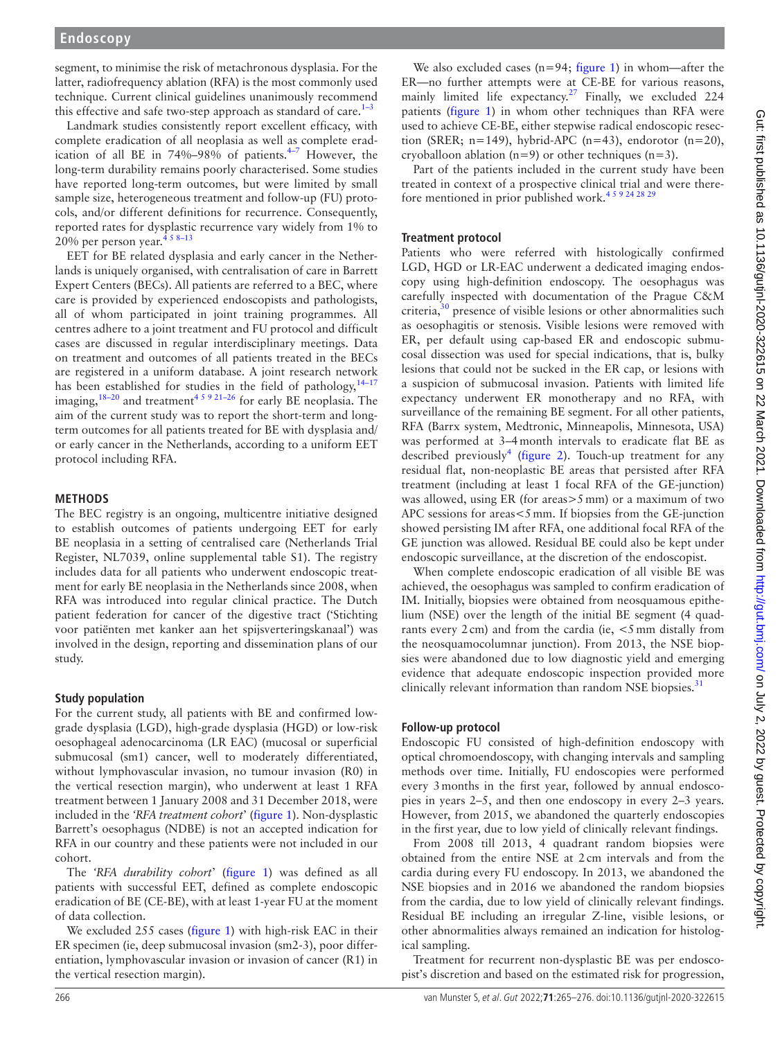segment, to minimise the risk of metachronous dysplasia. For the latter, radiofrequency ablation (RFA) is the most commonly used technique. Current clinical guidelines unanimously recommend this effective and safe two-step approach as standard of care.<sup>[1–3](#page-10-0)</sup>

Landmark studies consistently report excellent efficacy, with complete eradication of all neoplasia as well as complete eradication of all BE in  $74\% - 98\%$  of patients.<sup>4-7</sup> However, the long-term durability remains poorly characterised. Some studies have reported long-term outcomes, but were limited by small sample size, heterogeneous treatment and follow-up (FU) protocols, and/or different definitions for recurrence. Consequently, reported rates for dysplastic recurrence vary widely from 1% to 20% per person year.<sup>458-13</sup>

EET for BE related dysplasia and early cancer in the Netherlands is uniquely organised, with centralisation of care in Barrett Expert Centers (BECs). All patients are referred to a BEC, where care is provided by experienced endoscopists and pathologists, all of whom participated in joint training programmes. All centres adhere to a joint treatment and FU protocol and difficult cases are discussed in regular interdisciplinary meetings. Data on treatment and outcomes of all patients treated in the BECs are registered in a uniform database. A joint research network has been established for studies in the field of pathology,  $14-17$ imaging,  $18-20$  and treatment<sup>4 5 9 21-26</sup> for early BE neoplasia. The aim of the current study was to report the short-term and longterm outcomes for all patients treated for BE with dysplasia and/ or early cancer in the Netherlands, according to a uniform EET protocol including RFA.

## **METHODS**

The BEC registry is an ongoing, multicentre initiative designed to establish outcomes of patients undergoing EET for early BE neoplasia in a setting of centralised care (Netherlands Trial Register, NL7039, [online supplemental table S1\)](https://dx.doi.org/10.1136/gutjnl-2020-322615). The registry includes data for all patients who underwent endoscopic treatment for early BE neoplasia in the Netherlands since 2008, when RFA was introduced into regular clinical practice. The Dutch patient federation for cancer of the digestive tract ('Stichting voor patiënten met kanker aan het spijsverteringskanaal') was involved in the design, reporting and dissemination plans of our study.

## **Study population**

For the current study, all patients with BE and confirmed lowgrade dysplasia (LGD), high-grade dysplasia (HGD) or low-risk oesophageal adenocarcinoma (LR EAC) (mucosal or superficial submucosal (sm1) cancer, well to moderately differentiated, without lymphovascular invasion, no tumour invasion (R0) in the vertical resection margin), who underwent at least 1 RFA treatment between 1 January 2008 and 31 December 2018, were included in the *'RFA treatment cohort*' ([figure](#page-2-0) 1). Non-dysplastic Barrett's oesophagus (NDBE) is not an accepted indication for RFA in our country and these patients were not included in our cohort.

The *'RFA durability cohort*' ([figure](#page-2-0) 1) was defined as all patients with successful EET, defined as complete endoscopic eradication of BE (CE-BE), with at least 1-year FU at the moment of data collection.

We excluded 255 cases [\(figure](#page-2-0) 1) with high-risk EAC in their ER specimen (ie, deep submucosal invasion (sm2-3), poor differentiation, lymphovascular invasion or invasion of cancer (R1) in the vertical resection margin).

We also excluded cases ( $n=94$ ; [figure](#page-2-0) 1) in whom—after the ER—no further attempts were at CE-BE for various reasons, mainly limited life expectancy.<sup>[27](#page-11-2)</sup> Finally, we excluded  $224$ patients ([figure](#page-2-0) 1) in whom other techniques than RFA were used to achieve CE-BE, either stepwise radical endoscopic resection (SRER;  $n=149$ ), hybrid-APC ( $n=43$ ), endorotor ( $n=20$ ), cryoballoon ablation ( $n=9$ ) or other techniques ( $n=3$ ).

Part of the patients included in the current study have been treated in context of a prospective clinical trial and were therefore mentioned in prior published work.[4 5 9 24 28 29](#page-10-1)

# **Treatment protocol**

Patients who were referred with histologically confirmed LGD, HGD or LR-EAC underwent a dedicated imaging endoscopy using high-definition endoscopy. The oesophagus was carefully inspected with documentation of the Prague C&M criteria,<sup>[30](#page-11-3)</sup> presence of visible lesions or other abnormalities such as oesophagitis or stenosis. Visible lesions were removed with ER, per default using cap-based ER and endoscopic submucosal dissection was used for special indications, that is, bulky lesions that could not be sucked in the ER cap, or lesions with a suspicion of submucosal invasion. Patients with limited life expectancy underwent ER monotherapy and no RFA, with surveillance of the remaining BE segment. For all other patients, RFA (Barrx system, Medtronic, Minneapolis, Minnesota, USA) was performed at 3–4month intervals to eradicate flat BE as described previously<sup>[4](#page-10-1)</sup> [\(figure](#page-3-0) 2). Touch-up treatment for any residual flat, non-neoplastic BE areas that persisted after RFA treatment (including at least 1 focal RFA of the GE-junction) was allowed, using ER (for areas>5mm) or a maximum of two APC sessions for areas<5mm. If biopsies from the GE-junction showed persisting IM after RFA, one additional focal RFA of the GE junction was allowed. Residual BE could also be kept under endoscopic surveillance, at the discretion of the endoscopist.

When complete endoscopic eradication of all visible BE was achieved, the oesophagus was sampled to confirm eradication of IM. Initially, biopsies were obtained from neosquamous epithelium (NSE) over the length of the initial BE segment (4 quadrants every  $2 \text{ cm}$ ) and from the cardia (ie,  $\lt 5 \text{ mm}$  distally from the neosquamocolumnar junction). From 2013, the NSE biopsies were abandoned due to low diagnostic yield and emerging evidence that adequate endoscopic inspection provided more clinically relevant information than random NSE biopsies. $31$ 

# **Follow-up protocol**

Endoscopic FU consisted of high-definition endoscopy with optical chromoendoscopy, with changing intervals and sampling methods over time. Initially, FU endoscopies were performed every 3months in the first year, followed by annual endoscopies in years 2–5, and then one endoscopy in every 2–3 years. However, from 2015, we abandoned the quarterly endoscopies in the first year, due to low yield of clinically relevant findings.

From 2008 till 2013, 4 quadrant random biopsies were obtained from the entire NSE at 2cm intervals and from the cardia during every FU endoscopy. In 2013, we abandoned the NSE biopsies and in 2016 we abandoned the random biopsies from the cardia, due to low yield of clinically relevant findings. Residual BE including an irregular Z-line, visible lesions, or other abnormalities always remained an indication for histological sampling.

Treatment for recurrent non-dysplastic BE was per endoscopist's discretion and based on the estimated risk for progression,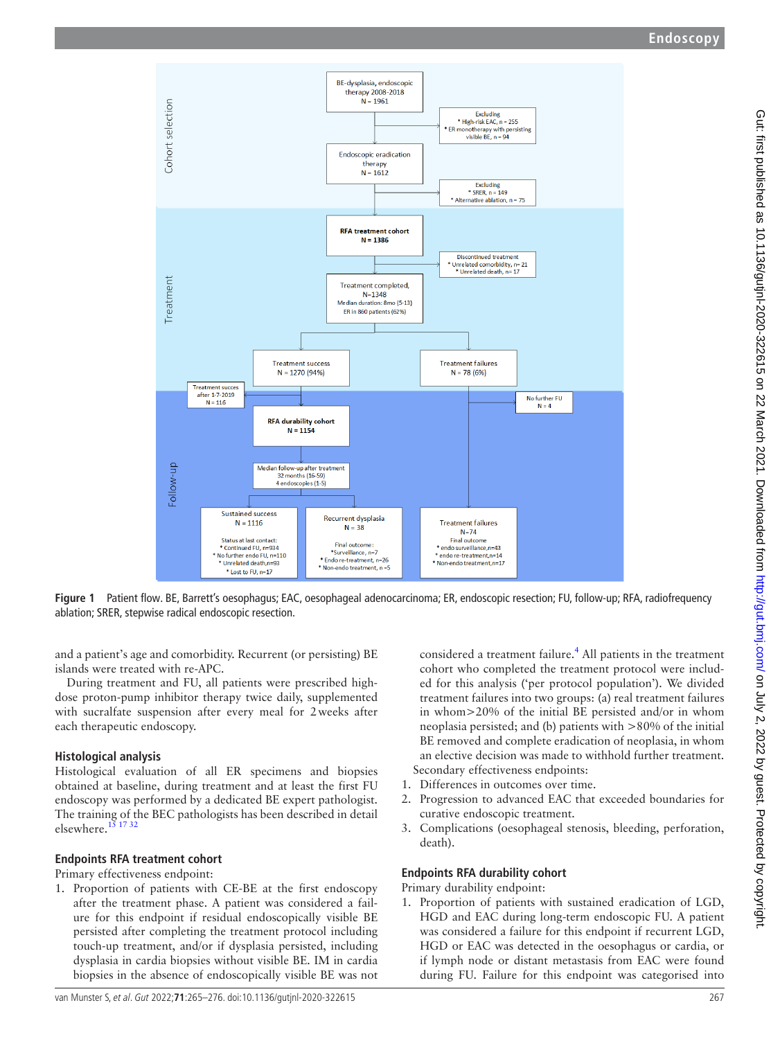

**Figure 1** Patient flow. BE, Barrett's oesophagus; EAC, oesophageal adenocarcinoma; ER, endoscopic resection; FU, follow-up; RFA, radiofrequency ablation; SRER, stepwise radical endoscopic resection.

and a patient's age and comorbidity. Recurrent (or persisting) BE islands were treated with re-APC.

During treatment and FU, all patients were prescribed highdose proton-pump inhibitor therapy twice daily, supplemented with sucralfate suspension after every meal for 2weeks after each therapeutic endoscopy.

# **Histological analysis**

Histological evaluation of all ER specimens and biopsies obtained at baseline, during treatment and at least the first FU endoscopy was performed by a dedicated BE expert pathologist. The training of the BEC pathologists has been described in detail elsewhere. $15$  17 32

# **Endpoints RFA treatment cohort**

Primary effectiveness endpoint:

1. Proportion of patients with CE-BE at the first endoscopy after the treatment phase. A patient was considered a failure for this endpoint if residual endoscopically visible BE persisted after completing the treatment protocol including touch-up treatment, and/or if dysplasia persisted, including dysplasia in cardia biopsies without visible BE. IM in cardia biopsies in the absence of endoscopically visible BE was not

<span id="page-2-0"></span>considered a treatment failure.<sup>[4](#page-10-1)</sup> All patients in the treatment cohort who completed the treatment protocol were included for this analysis ('per protocol population'). We divided treatment failures into two groups: (a) real treatment failures in whom>20% of the initial BE persisted and/or in whom neoplasia persisted; and (b) patients with >80% of the initial BE removed and complete eradication of neoplasia, in whom an elective decision was made to withhold further treatment. Secondary effectiveness endpoints:

- 1. Differences in outcomes over time.
- 2. Progression to advanced EAC that exceeded boundaries for curative endoscopic treatment.
- 3. Complications (oesophageal stenosis, bleeding, perforation, death).

# **Endpoints RFA durability cohort**

Primary durability endpoint:

1. Proportion of patients with sustained eradication of LGD, HGD and EAC during long-term endoscopic FU. A patient was considered a failure for this endpoint if recurrent LGD, HGD or EAC was detected in the oesophagus or cardia, or if lymph node or distant metastasis from EAC were found during FU. Failure for this endpoint was categorised into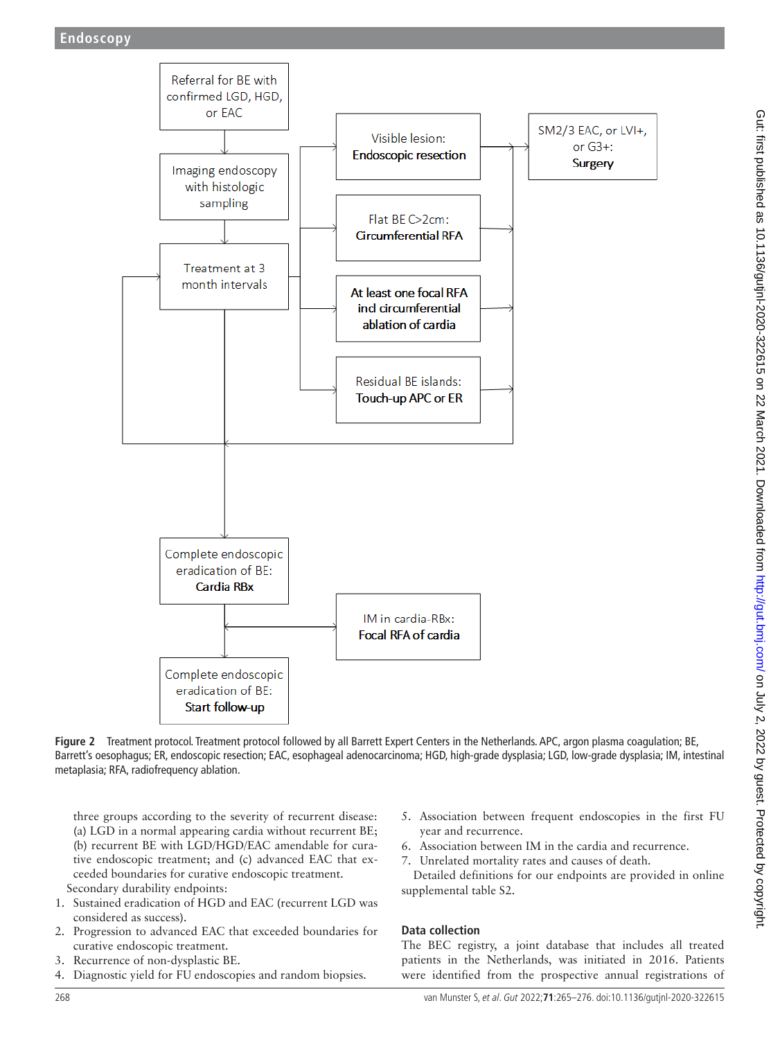

<span id="page-3-0"></span>**Figure 2** Treatment protocol. Treatment protocol followed by all Barrett Expert Centers in the Netherlands. APC, argon plasma coagulation; BE, Barrett's oesophagus; ER, endoscopic resection; EAC, esophageal adenocarcinoma; HGD, high-grade dysplasia; LGD, low-grade dysplasia; IM, intestinal metaplasia; RFA, radiofrequency ablation.

three groups according to the severity of recurrent disease: (a) LGD in a normal appearing cardia without recurrent BE; (b) recurrent BE with LGD/HGD/EAC amendable for curative endoscopic treatment; and (c) advanced EAC that exceeded boundaries for curative endoscopic treatment. Secondary durability endpoints:

- 1. Sustained eradication of HGD and EAC (recurrent LGD was considered as success).
- 2. Progression to advanced EAC that exceeded boundaries for curative endoscopic treatment.
- 3. Recurrence of non-dysplastic BE.
- 4. Diagnostic yield for FU endoscopies and random biopsies.
- 5. Association between frequent endoscopies in the first FU year and recurrence.
- 6. Association between IM in the cardia and recurrence.
- 7. Unrelated mortality rates and causes of death.

Detailed definitions for our endpoints are provided in [online](https://dx.doi.org/10.1136/gutjnl-2020-322615) [supplemental table S2.](https://dx.doi.org/10.1136/gutjnl-2020-322615)

# **Data collection**

The BEC registry, a joint database that includes all treated patients in the Netherlands, was initiated in 2016. Patients were identified from the prospective annual registrations of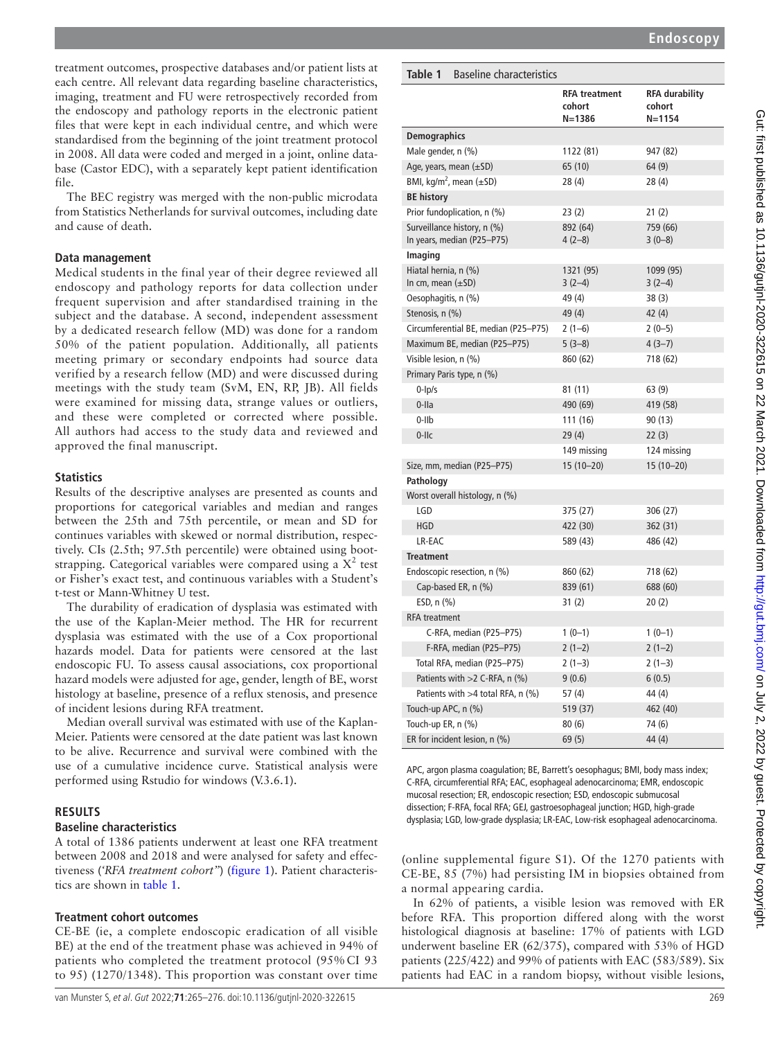treatment outcomes, prospective databases and/or patient lists at each centre. All relevant data regarding baseline characteristics, imaging, treatment and FU were retrospectively recorded from the endoscopy and pathology reports in the electronic patient files that were kept in each individual centre, and which were standardised from the beginning of the joint treatment protocol in 2008. All data were coded and merged in a joint, online database (Castor EDC), with a separately kept patient identification file.

The BEC registry was merged with the non-public microdata from Statistics Netherlands for survival outcomes, including date and cause of death.

#### **Data management**

Medical students in the final year of their degree reviewed all endoscopy and pathology reports for data collection under frequent supervision and after standardised training in the subject and the database. A second, independent assessment by a dedicated research fellow (MD) was done for a random 50% of the patient population. Additionally, all patients meeting primary or secondary endpoints had source data verified by a research fellow (MD) and were discussed during meetings with the study team (SvM, EN, RP, JB). All fields were examined for missing data, strange values or outliers, and these were completed or corrected where possible. All authors had access to the study data and reviewed and approved the final manuscript.

#### **Statistics**

Results of the descriptive analyses are presented as counts and proportions for categorical variables and median and ranges between the 25th and 75th percentile, or mean and SD for continues variables with skewed or normal distribution, respectively. CIs (2.5th; 97.5th percentile) were obtained using bootstrapping. Categorical variables were compared using a  $X^2$  test or Fisher's exact test, and continuous variables with a Student's t-test or Mann-Whitney U test.

The durability of eradication of dysplasia was estimated with the use of the Kaplan-Meier method. The HR for recurrent dysplasia was estimated with the use of a Cox proportional hazards model. Data for patients were censored at the last endoscopic FU. To assess causal associations, cox proportional hazard models were adjusted for age, gender, length of BE, worst histology at baseline, presence of a reflux stenosis, and presence of incident lesions during RFA treatment.

Median overall survival was estimated with use of the Kaplan-Meier. Patients were censored at the date patient was last known to be alive. Recurrence and survival were combined with the use of a cumulative incidence curve. Statistical analysis were performed using Rstudio for windows (V.3.6.1).

#### **RESULTS**

#### **Baseline characteristics**

A total of 1386 patients underwent at least one RFA treatment between 2008 and 2018 and were analysed for safety and effectiveness (*'RFA treatment cohort"*) ([figure](#page-2-0) 1). Patient characteristics are shown in [table](#page-4-0) 1.

#### **Treatment cohort outcomes**

CE-BE (ie, a complete endoscopic eradication of all visible BE) at the end of the treatment phase was achieved in 94% of patients who completed the treatment protocol (95% CI 93 to 95) (1270/1348). This proportion was constant over time

#### <span id="page-4-0"></span>**Table 1** Baseline characteristics

|                                                           | <b>RFA treatment</b><br>cohort<br>$N = 1386$ | <b>RFA durability</b><br>cohort<br>$N = 1154$ |
|-----------------------------------------------------------|----------------------------------------------|-----------------------------------------------|
| <b>Demographics</b>                                       |                                              |                                               |
| Male gender, n (%)                                        | 1122 (81)                                    | 947 (82)                                      |
| Age, years, mean $(\pm SD)$                               | 65 (10)                                      | 64 (9)                                        |
| BMI, kg/m <sup>2</sup> , mean $(\pm SD)$                  | 28(4)                                        | 28 (4)                                        |
| <b>BE history</b>                                         |                                              |                                               |
| Prior fundoplication, n (%)                               | 23(2)                                        | 21 (2)                                        |
| Surveillance history, n (%)<br>In years, median (P25-P75) | 892 (64)<br>$4(2-8)$                         | 759 (66)<br>$3(0-8)$                          |
| <b>Imaging</b>                                            |                                              |                                               |
| Hiatal hernia, n (%)<br>In cm, mean $(\pm SD)$            | 1321 (95)<br>$3(2-4)$                        | 1099 (95)<br>$3(2-4)$                         |
| Oesophagitis, n (%)                                       | 49 (4)                                       | 38 (3)                                        |
| Stenosis, n (%)                                           | 49(4)                                        | 42 (4)                                        |
| Circumferential BE, median (P25-P75)                      | $2(1-6)$                                     | $2(0-5)$                                      |
| Maximum BE, median (P25-P75)                              | $5(3-8)$                                     | $4(3-7)$                                      |
| Visible lesion, n (%)                                     | 860 (62)                                     | 718 (62)                                      |
| Primary Paris type, n (%)                                 |                                              |                                               |
| $0$ - $lp/s$                                              | 81 (11)                                      | 63(9)                                         |
| 0-lla                                                     | 490 (69)                                     | 419 (58)                                      |
| $0$ -IIb                                                  | 111 (16)                                     | 90 (13)                                       |
| $0$ -llc                                                  | 29(4)                                        | 22(3)                                         |
|                                                           | 149 missing                                  | 124 missing                                   |
| Size, mm, median (P25-P75)                                | 15 (10-20)                                   | $15(10-20)$                                   |
| Pathology                                                 |                                              |                                               |
| Worst overall histology, n (%)                            |                                              |                                               |
| LGD                                                       | 375 (27)                                     | 306 (27)                                      |
| <b>HGD</b>                                                | 422 (30)                                     | 362 (31)                                      |
| LR-EAC                                                    | 589 (43)                                     | 486 (42)                                      |
| <b>Treatment</b>                                          |                                              |                                               |
| Endoscopic resection, n (%)                               | 860 (62)                                     | 718 (62)                                      |
| Cap-based ER, n (%)                                       | 839 (61)                                     | 688 (60)                                      |
| ESD, $n$ $(\%)$                                           | 31(2)                                        | 20(2)                                         |
| <b>RFA</b> treatment                                      |                                              |                                               |
| C-RFA, median (P25-P75)                                   | $1(0-1)$                                     | $1(0-1)$                                      |
| F-RFA, median (P25-P75)                                   | $2(1-2)$                                     | $2(1-2)$                                      |
| Total RFA, median (P25-P75)                               | $2(1-3)$                                     | $2(1-3)$                                      |
| Patients with >2 C-RFA, n (%)                             | 9(0.6)                                       | 6(0.5)                                        |
| Patients with >4 total RFA, n (%)                         | 57 (4)                                       | 44 (4)                                        |
| Touch-up APC, n (%)                                       | 519 (37)                                     | 462 (40)                                      |
| Touch-up ER, $n$ $(\%)$                                   | 80(6)                                        | 74 (6)                                        |
| ER for incident lesion, n (%)                             | 69(5)                                        | 44 (4)                                        |

APC, argon plasma coagulation; BE, Barrett's oesophagus; BMI, body mass index; C-RFA, circumferential RFA; EAC, esophageal adenocarcinoma; EMR, endoscopic mucosal resection; ER, endoscopic resection; ESD, endoscopic submucosal dissection; F-RFA, focal RFA; GEJ, gastroesophageal junction; HGD, high-grade dysplasia; LGD, low-grade dysplasia; LR-EAC, Low-risk esophageal adenocarcinoma.

([online supplemental figure S1](https://dx.doi.org/10.1136/gutjnl-2020-322615)). Of the 1270 patients with CE-BE, 85 (7%) had persisting IM in biopsies obtained from a normal appearing cardia.

In 62% of patients, a visible lesion was removed with ER before RFA. This proportion differed along with the worst histological diagnosis at baseline: 17% of patients with LGD underwent baseline ER (62/375), compared with 53% of HGD patients (225/422) and 99% of patients with EAC (583/589). Six patients had EAC in a random biopsy, without visible lesions,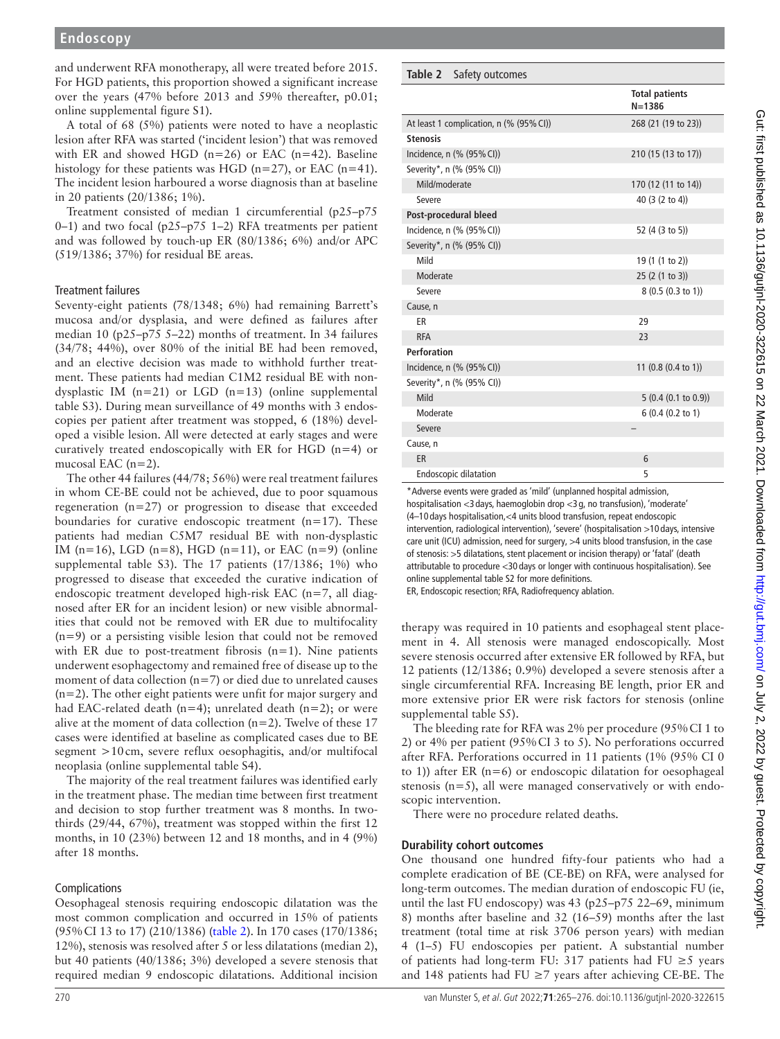and underwent RFA monotherapy, all were treated before 2015. For HGD patients, this proportion showed a significant increase over the years (47% before 2013 and 59% thereafter, p0.01; [online supplemental figure S1\)](https://dx.doi.org/10.1136/gutjnl-2020-322615).

A total of 68 (5%) patients were noted to have a neoplastic lesion after RFA was started ('incident lesion') that was removed with ER and showed HGD ( $n=26$ ) or EAC ( $n=42$ ). Baseline histology for these patients was HGD ( $n=27$ ), or EAC ( $n=41$ ). The incident lesion harboured a worse diagnosis than at baseline in 20 patients (20/1386; 1%).

Treatment consisted of median 1 circumferential (p25–p75 0–1) and two focal (p25–p75 1–2) RFA treatments per patient and was followed by touch-up ER (80/1386; 6%) and/or APC (519/1386; 37%) for residual BE areas.

#### Treatment failures

Seventy-eight patients (78/1348; 6%) had remaining Barrett's mucosa and/or dysplasia, and were defined as failures after median 10 (p25–p75 5–22) months of treatment. In 34 failures (34/78; 44%), over 80% of the initial BE had been removed, and an elective decision was made to withhold further treatment. These patients had median C1M2 residual BE with nondysplastic IM  $(n=21)$  or LGD  $(n=13)$  (online supplemental [table S3\)](https://dx.doi.org/10.1136/gutjnl-2020-322615). During mean surveillance of 49 months with 3 endoscopies per patient after treatment was stopped, 6 (18%) developed a visible lesion. All were detected at early stages and were curatively treated endoscopically with ER for HGD (n=4) or mucosal EAC  $(n=2)$ .

The other 44 failures (44/78; 56%) were real treatment failures in whom CE-BE could not be achieved, due to poor squamous regeneration (n=27) or progression to disease that exceeded boundaries for curative endoscopic treatment ( $n=17$ ). These patients had median C5M7 residual BE with non-dysplastic IM (n=16), LGD (n=8), HGD (n=11), or EAC (n=9) (online [supplemental table S3](https://dx.doi.org/10.1136/gutjnl-2020-322615)). The  $17$  patients  $(17/1386; 1\%)$  who progressed to disease that exceeded the curative indication of endoscopic treatment developed high-risk EAC (n=7, all diagnosed after ER for an incident lesion) or new visible abnormalities that could not be removed with ER due to multifocality  $(n=9)$  or a persisting visible lesion that could not be removed with ER due to post-treatment fibrosis (n=1). Nine patients underwent esophagectomy and remained free of disease up to the moment of data collection (n=7) or died due to unrelated causes  $(n=2)$ . The other eight patients were unfit for major surgery and had EAC-related death (n=4); unrelated death (n=2); or were alive at the moment of data collection ( $n=2$ ). Twelve of these 17 cases were identified at baseline as complicated cases due to BE segment >10cm, severe reflux oesophagitis, and/or multifocal neoplasia [\(online supplemental table S4](https://dx.doi.org/10.1136/gutjnl-2020-322615)).

The majority of the real treatment failures was identified early in the treatment phase. The median time between first treatment and decision to stop further treatment was 8 months. In twothirds (29/44, 67%), treatment was stopped within the first 12 months, in 10 (23%) between 12 and 18 months, and in 4 (9%) after 18 months.

#### Complications

Oesophageal stenosis requiring endoscopic dilatation was the most common complication and occurred in 15% of patients (95%CI 13 to 17) (210/1386) ([table](#page-5-0) 2). In 170 cases (170/1386; 12%), stenosis was resolved after 5 or less dilatations (median 2), but 40 patients (40/1386; 3%) developed a severe stenosis that required median 9 endoscopic dilatations. Additional incision

#### <span id="page-5-0"></span>**Table 2** Safety outcomes

|                                         | <b>Total patients</b><br>$N = 1386$ |
|-----------------------------------------|-------------------------------------|
| At least 1 complication, n (% (95% CI)) | 268 (21 (19 to 23))                 |
| <b>Stenosis</b>                         |                                     |
| Incidence, n (% (95% CI))               | 210 (15 (13 to 17))                 |
| Severity*, n (% (95% CI))               |                                     |
| Mild/moderate                           | 170 (12 (11 to 14))                 |
| Severe                                  | 40 (3 (2 to 4))                     |
| Post-procedural bleed                   |                                     |
| Incidence, n (% (95% CI))               | 52 (4 (3 to 5))                     |
| Severity*, n (% (95% CI))               |                                     |
| Mild                                    | 19 (1 (1 to 2))                     |
| Moderate                                | 25 (2 (1 to 3))                     |
| Severe                                  | 8(0.5(0.3 to 1))                    |
| Cause, n                                |                                     |
| ER                                      | 29                                  |
| <b>RFA</b>                              | 23                                  |
| Perforation                             |                                     |
| Incidence, n (% (95% CI))               | 11 $(0.8(0.4 \text{ to } 1))$       |
| Severity*, n (% (95% CI))               |                                     |
| Mild                                    | 5(0.4(0.1 to 0.9))                  |
| Moderate                                | $6(0.4(0.2 \text{ to } 1))$         |
| Severe                                  |                                     |
| Cause, n                                |                                     |
| ER                                      | 6                                   |
| <b>Endoscopic dilatation</b>            | 5                                   |

\*Adverse events were graded as 'mild' (unplanned hospital admission, hospitalisation <3 days, haemoglobin drop <3 g, no transfusion), 'moderate' (4–10 days hospitalisation,<4 units blood transfusion, repeat endoscopic intervention, radiological intervention), 'severe' (hospitalisation >10 days, intensive care unit (ICU) admission, need for surgery, >4 units blood transfusion, in the case of stenosis: >5 dilatations, stent placement or incision therapy) or 'fatal' (death attributable to procedure <30 days or longer with continuous hospitalisation). See [online supplemental table S2](https://dx.doi.org/10.1136/gutjnl-2020-322615) for more definitions.

ER, Endoscopic resection; RFA, Radiofrequency ablation.

therapy was required in 10 patients and esophageal stent placement in 4. All stenosis were managed endoscopically. Most severe stenosis occurred after extensive ER followed by RFA, but 12 patients (12/1386; 0.9%) developed a severe stenosis after a single circumferential RFA. Increasing BE length, prior ER and more extensive prior ER were risk factors for stenosis [\(online](https://dx.doi.org/10.1136/gutjnl-2020-322615) [supplemental table S5\)](https://dx.doi.org/10.1136/gutjnl-2020-322615).

The bleeding rate for RFA was 2% per procedure (95%CI 1 to 2) or 4% per patient (95%CI 3 to 5). No perforations occurred after RFA. Perforations occurred in 11 patients (1% (95% CI 0 to 1)) after ER  $(n=6)$  or endoscopic dilatation for oesophageal stenosis (n=5), all were managed conservatively or with endoscopic intervention.

There were no procedure related deaths.

#### **Durability cohort outcomes**

One thousand one hundred fifty-four patients who had a complete eradication of BE (CE-BE) on RFA, were analysed for long-term outcomes. The median duration of endoscopic FU (ie, until the last FU endoscopy) was 43 (p25–p75 22–69, minimum 8) months after baseline and 32 (16–59) months after the last treatment (total time at risk 3706 person years) with median 4 (1–5) FU endoscopies per patient. A substantial number of patients had long-term FU: 317 patients had FU ≥5 years and 148 patients had FU  $\geq$ 7 years after achieving CE-BE. The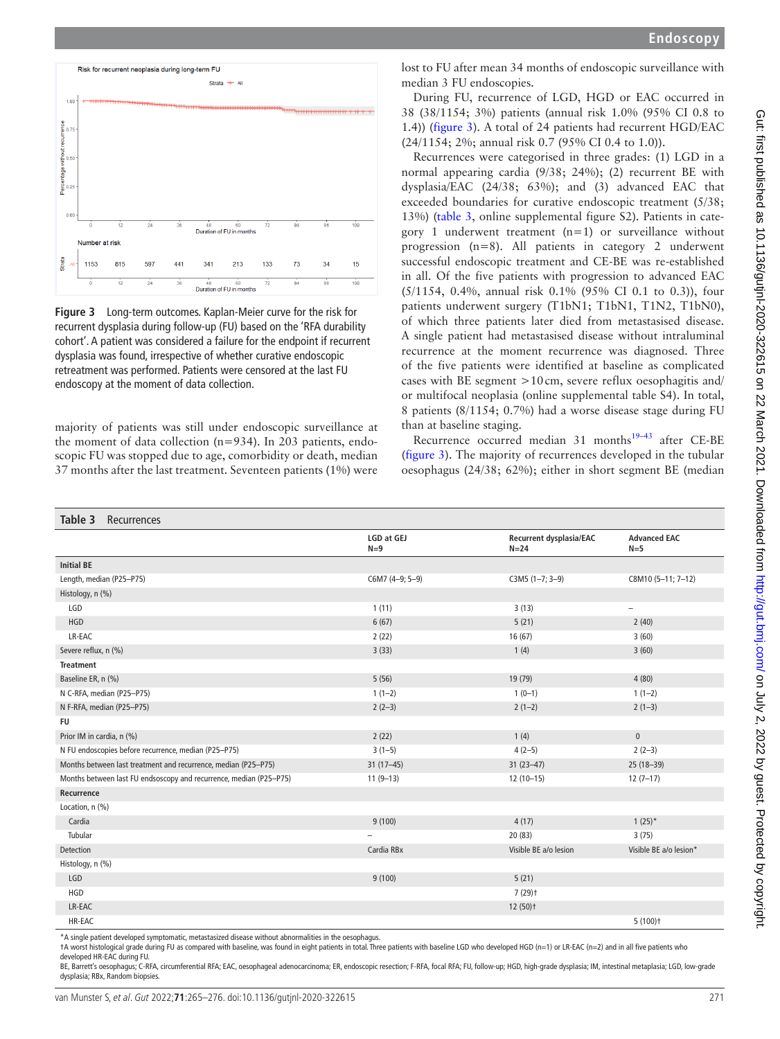



<span id="page-6-0"></span>**Figure 3** Long-term outcomes. Kaplan-Meier curve for the risk for recurrent dysplasia during follow-up (FU) based on the 'RFA durability cohort'. A patient was considered a failure for the endpoint if recurrent dysplasia was found, irrespective of whether curative endoscopic retreatment was performed. Patients were censored at the last FU endoscopy at the moment of data collection.

majority of patients was still under endoscopic surveillance at the moment of data collection (n=934). In 203 patients, endoscopic FU was stopped due to age, comorbidity or death, median 37 months after the last treatment. Seventeen patients (1%) were lost to FU after mean 34 months of endoscopic surveillance with median 3 FU endoscopies.

During FU, recurrence of LGD, HGD or EAC occurred in 38 (38/1154; 3%) patients (annual risk 1.0% (95% CI 0.8 to 1.4)) [\(figure](#page-6-0) 3). A total of 24 patients had recurrent HGD/EAC (24/1154; 2%; annual risk 0.7 (95% CI 0.4 to 1.0)).

Recurrences were categorised in three grades: (1) LGD in a normal appearing cardia (9/38; 24%); (2) recurrent BE with dysplasia/EAC (24/38; 63%); and (3) advanced EAC that exceeded boundaries for curative endoscopic treatment (5/38; 13%) ([table](#page-6-1) 3, [online supplemental figure S2\)](https://dx.doi.org/10.1136/gutjnl-2020-322615). Patients in category 1 underwent treatment  $(n=1)$  or surveillance without progression (n=8). All patients in category 2 underwent successful endoscopic treatment and CE-BE was re-established in all. Of the five patients with progression to advanced EAC (5/1154, 0.4%, annual risk 0.1% (95% CI 0.1 to 0.3)), four patients underwent surgery (T1bN1; T1bN1, T1N2, T1bN0), of which three patients later died from metastasised disease. A single patient had metastasised disease without intraluminal recurrence at the moment recurrence was diagnosed. Three of the five patients were identified at baseline as complicated cases with BE segment >10cm, severe reflux oesophagitis and/ or multifocal neoplasia ([online supplemental table S4\)](https://dx.doi.org/10.1136/gutjnl-2020-322615). In total, 8 patients (8/1154; 0.7%) had a worse disease stage during FU than at baseline staging.

Recurrence occurred median 31 months<sup>19-43</sup> after CE-BE ([figure](#page-6-0) 3). The majority of recurrences developed in the tubular oesophagus (24/38; 62%); either in short segment BE (median

<span id="page-6-1"></span>

| Table 3<br>Recurrences                                             |                            |                                            |                              |
|--------------------------------------------------------------------|----------------------------|--------------------------------------------|------------------------------|
|                                                                    | <b>LGD at GEJ</b><br>$N=9$ | <b>Recurrent dysplasia/EAC</b><br>$N = 24$ | <b>Advanced EAC</b><br>$N=5$ |
| <b>Initial BE</b>                                                  |                            |                                            |                              |
| Length, median (P25-P75)                                           | C6M7 (4-9; 5-9)            | $C3M5(1-7; 3-9)$                           | C8M10 (5-11; 7-12)           |
| Histology, n (%)                                                   |                            |                                            |                              |
| LGD                                                                | 1(11)                      | 3(13)                                      | $\overline{\phantom{0}}$     |
| <b>HGD</b>                                                         | 6(67)                      | 5(21)                                      | 2(40)                        |
| LR-EAC                                                             | 2(22)                      | 16(67)                                     | 3(60)                        |
| Severe reflux, n (%)                                               | 3(33)                      | 1(4)                                       | 3(60)                        |
| <b>Treatment</b>                                                   |                            |                                            |                              |
| Baseline ER, n (%)                                                 | 5(56)                      | 19 (79)                                    | 4(80)                        |
| N C-RFA, median (P25-P75)                                          | $1(1-2)$                   | $1(0-1)$                                   | $1(1-2)$                     |
| N F-RFA, median (P25-P75)                                          | $2(2-3)$                   | $2(1-2)$                                   | $2(1-3)$                     |
| <b>FU</b>                                                          |                            |                                            |                              |
| Prior IM in cardia, n (%)                                          | 2(22)                      | 1(4)                                       | $\mathbf 0$                  |
| N FU endoscopies before recurrence, median (P25-P75)               | $3(1-5)$                   | $4(2-5)$                                   | $2(2-3)$                     |
| Months between last treatment and recurrence, median (P25-P75)     | $31(17-45)$                | $31(23-47)$                                | 25 (18-39)                   |
| Months between last FU endsoscopy and recurrence, median (P25-P75) | $11(9-13)$                 | $12(10-15)$                                | $12(7-17)$                   |
| Recurrence                                                         |                            |                                            |                              |
| Location, n (%)                                                    |                            |                                            |                              |
| Cardia                                                             | 9(100)                     | 4(17)                                      | $1(25)^*$                    |
| Tubular                                                            |                            | 20(83)                                     | 3(75)                        |
| Detection                                                          | Cardia RBx                 | Visible BE a/o lesion                      | Visible BE a/o lesion*       |
| Histology, n (%)                                                   |                            |                                            |                              |
| LGD                                                                | 9(100)                     | 5(21)                                      |                              |
| <b>HGD</b>                                                         |                            | $7(29)$ t                                  |                              |
| LR-EAC                                                             |                            | $12(50)$ t                                 |                              |
| HR-EAC                                                             |                            |                                            | $5(100)$ <sup>+</sup>        |

\*A single patient developed symptomatic, metastasized disease without abnormalities in the oesophagus.

†A worst histological grade during FU as compared with baseline, was found in eight patients in total. Three patients with baseline LGD who developed HGD (n=1) or LR-EAC (n=2) and in all five patients who developed HR-EAC during FU.

BE, Barrett's oesophagus; C-RFA, circumferential RFA; EAC, oesophageal adenocarcinoma; ER, endoscopic resection; F-RFA, focal RFA; FU, follow-up; HGD, high-grade dysplasia; IM, intestinal metaplasia; LGD, low-grade dysplasia; RBx, Random biopsies.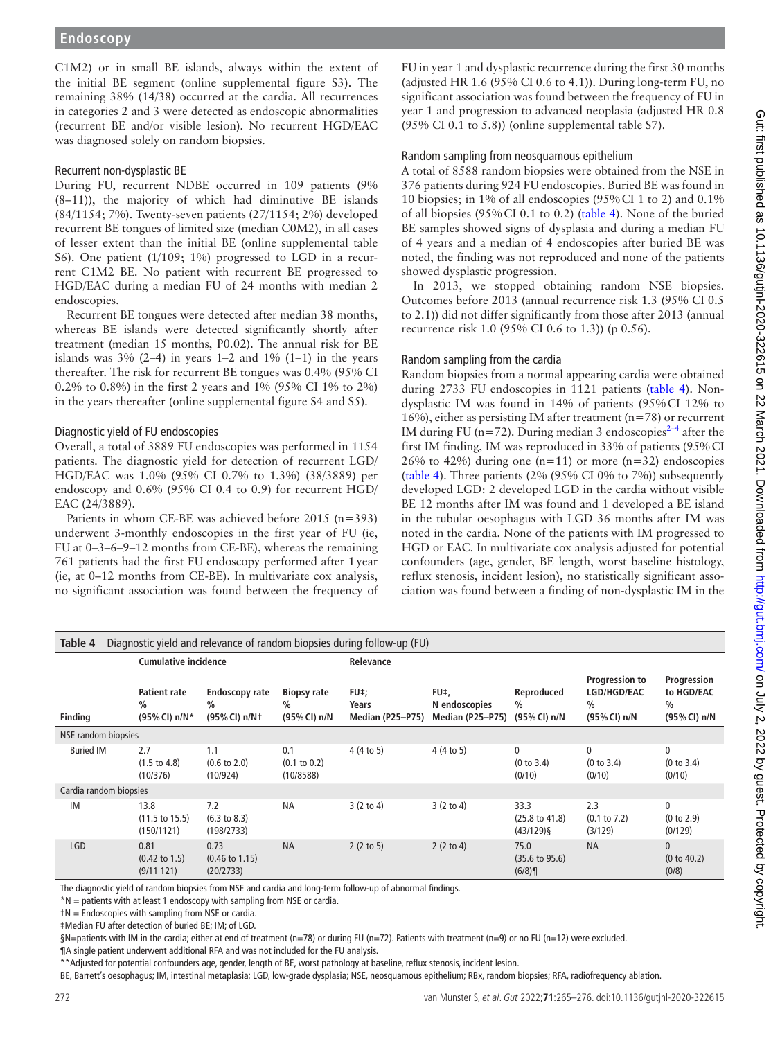C1M2) or in small BE islands, always within the extent of the initial BE segment [\(online supplemental figure S3](https://dx.doi.org/10.1136/gutjnl-2020-322615)). The remaining 38% (14/38) occurred at the cardia. All recurrences in categories 2 and 3 were detected as endoscopic abnormalities (recurrent BE and/or visible lesion). No recurrent HGD/EAC was diagnosed solely on random biopsies.

#### Recurrent non-dysplastic BE

During FU, recurrent NDBE occurred in 109 patients (9% (8–11)), the majority of which had diminutive BE islands (84/1154; 7%). Twenty-seven patients (27/1154; 2%) developed recurrent BE tongues of limited size (median C0M2), in all cases of lesser extent than the initial BE [\(online supplemental table](https://dx.doi.org/10.1136/gutjnl-2020-322615)  [S6\)](https://dx.doi.org/10.1136/gutjnl-2020-322615). One patient (1/109; 1%) progressed to LGD in a recurrent C1M2 BE. No patient with recurrent BE progressed to HGD/EAC during a median FU of 24 months with median 2 endoscopies.

Recurrent BE tongues were detected after median 38 months, whereas BE islands were detected significantly shortly after treatment (median 15 months, P0.02). The annual risk for BE islands was  $3\%$  (2–4) in years 1–2 and 1% (1–1) in the years thereafter. The risk for recurrent BE tongues was 0.4% (95% CI 0.2% to 0.8%) in the first 2 years and 1% (95% CI 1% to 2%) in the years thereafter ([online supplemental figure S4 and S5\)](https://dx.doi.org/10.1136/gutjnl-2020-322615).

#### Diagnostic yield of FU endoscopies

Overall, a total of 3889 FU endoscopies was performed in 1154 patients. The diagnostic yield for detection of recurrent LGD/ HGD/EAC was 1.0% (95% CI 0.7% to 1.3%) (38/3889) per endoscopy and 0.6% (95% CI 0.4 to 0.9) for recurrent HGD/ EAC (24/3889).

Patients in whom CE-BE was achieved before 2015 (n=393) underwent 3-monthly endoscopies in the first year of FU (ie, FU at 0–3–6–9–12 months from CE-BE), whereas the remaining 761 patients had the first FU endoscopy performed after 1year (ie, at 0–12 months from CE-BE). In multivariate cox analysis, no significant association was found between the frequency of

FU in year 1 and dysplastic recurrence during the first 30 months (adjusted HR 1.6 (95% CI 0.6 to 4.1)). During long-term FU, no significant association was found between the frequency of FU in year 1 and progression to advanced neoplasia (adjusted HR 0.8 (95% CI 0.1 to 5.8)) ([online supplemental table S7\)](https://dx.doi.org/10.1136/gutjnl-2020-322615).

#### Random sampling from neosquamous epithelium

A total of 8588 random biopsies were obtained from the NSE in 376 patients during 924 FU endoscopies. Buried BE was found in 10 biopsies; in 1% of all endoscopies (95%CI 1 to 2) and 0.1% of all biopsies (95%CI 0.1 to 0.2) [\(table](#page-7-0) 4). None of the buried BE samples showed signs of dysplasia and during a median FU of 4 years and a median of 4 endoscopies after buried BE was noted, the finding was not reproduced and none of the patients showed dysplastic progression.

In 2013, we stopped obtaining random NSE biopsies. Outcomes before 2013 (annual recurrence risk 1.3 (95% CI 0.5 to 2.1)) did not differ significantly from those after 2013 (annual recurrence risk 1.0 (95% CI 0.6 to 1.3)) (p 0.56).

#### Random sampling from the cardia

Random biopsies from a normal appearing cardia were obtained during 2733 FU endoscopies in 1121 patients [\(table](#page-7-0) 4). Nondysplastic IM was found in 14% of patients (95%CI 12% to 16%), either as persisting IM after treatment ( $n=78$ ) or recurrent IM during FU (n=72). During median 3 endoscopies<sup>2-4</sup> after the first IM finding, IM was reproduced in 33% of patients (95%CI 26% to 42%) during one  $(n=11)$  or more  $(n=32)$  endoscopies ([table](#page-7-0) 4). Three patients (2% (95% CI 0% to 7%)) subsequently developed LGD: 2 developed LGD in the cardia without visible BE 12 months after IM was found and 1 developed a BE island in the tubular oesophagus with LGD 36 months after IM was noted in the cardia. None of the patients with IM progressed to HGD or EAC. In multivariate cox analysis adjusted for potential confounders (age, gender, BE length, worst baseline histology, reflux stenosis, incident lesion), no statistically significant association was found between a finding of non-dysplastic IM in the

<span id="page-7-0"></span>

| Diagnostic yield and relevance of random biopsies during follow-up (FU)<br>Table 4 |                                                       |                                                |                                             |                                          |                                                  |                                                   |                                                                |                                                            |
|------------------------------------------------------------------------------------|-------------------------------------------------------|------------------------------------------------|---------------------------------------------|------------------------------------------|--------------------------------------------------|---------------------------------------------------|----------------------------------------------------------------|------------------------------------------------------------|
|                                                                                    | <b>Cumulative incidence</b>                           |                                                |                                             | Relevance                                |                                                  |                                                   |                                                                |                                                            |
| <b>Finding</b>                                                                     | <b>Patient rate</b><br>$\frac{0}{0}$<br>(95% CI) n/N* | <b>Endoscopy rate</b><br>$\%$<br>(95% CI) n/N+ | <b>Biopsy rate</b><br>$\%$<br>(95% CI) n/N  | FU‡:<br>Years<br><b>Median (P25-P75)</b> | FU‡,<br>N endoscopies<br><b>Median (P25-P75)</b> | Reproduced<br>%<br>(95% CI) n/N                   | Progression to<br>LGD/HGD/EAC<br>$\frac{0}{0}$<br>(95% CI) n/N | Progression<br>to HGD/EAC<br>$\frac{0}{0}$<br>(95% CI) n/N |
| NSE random biopsies                                                                |                                                       |                                                |                                             |                                          |                                                  |                                                   |                                                                |                                                            |
| <b>Buried IM</b>                                                                   | 2.7<br>$(1.5 \text{ to } 4.8)$<br>(10/376)            | 1.1<br>$(0.6 \text{ to } 2.0)$<br>(10/924)     | 0.1<br>$(0.1 \text{ to } 0.2)$<br>(10/8588) | 4(4 to 5)                                | 4(4 to 5)                                        | $\mathbf{0}$<br>(0 to 3.4)<br>(0/10)              | $\mathbf{0}$<br>(0 to 3.4)<br>(0/10)                           | $\mathbf{0}$<br>(0 to 3.4)<br>(0/10)                       |
| Cardia random biopsies                                                             |                                                       |                                                |                                             |                                          |                                                  |                                                   |                                                                |                                                            |
| IM                                                                                 | 13.8<br>$(11.5 \text{ to } 15.5)$<br>(150/1121)       | 7.2<br>$(6.3 \text{ to } 8.3)$<br>(198/2733)   | <b>NA</b>                                   | 3(2 to 4)                                | $3(2 \text{ to } 4)$                             | 33.3<br>$(25.8 \text{ to } 41.8)$<br>$(43/129)$ § | 2.3<br>$(0.1 \text{ to } 7.2)$<br>(3/129)                      | $\mathbf{0}$<br>(0 to 2.9)<br>(0/129)                      |
| <b>LGD</b>                                                                         | 0.81<br>$(0.42 \text{ to } 1.5)$<br>(9/11121)         | 0.73<br>$(0.46 \text{ to } 1.15)$<br>(20/2733) | <b>NA</b>                                   | $2(2 \text{ to } 5)$                     | 2 $(2 to 4)$                                     | 75.0<br>$(35.6 \text{ to } 95.6)$<br>(6/8)        | <b>NA</b>                                                      | $\mathbf{0}$<br>(0 to 40.2)<br>(0/8)                       |
|                                                                                    |                                                       |                                                |                                             |                                          |                                                  |                                                   |                                                                |                                                            |

The diagnostic yield of random biopsies from NSE and cardia and long-term follow-up of abnormal findings.

\*N = patients with at least 1 endoscopy with sampling from NSE or cardia.

†N = Endoscopies with sampling from NSE or cardia.

‡Median FU after detection of buried BE; IM; of LGD.

§N=patients with IM in the cardia; either at end of treatment (n=78) or during FU (n=72). Patients with treatment (n=9) or no FU (n=12) were excluded.

¶A single patient underwent additional RFA and was not included for the FU analysis.

\*\*Adjusted for potential confounders age, gender, length of BE, worst pathology at baseline, reflux stenosis, incident lesion.

BE, Barrett's oesophagus; IM, intestinal metaplasia; LGD, low-grade dysplasia; NSE, neosquamous epithelium; RBx, random biopsies; RFA, radiofrequency ablation.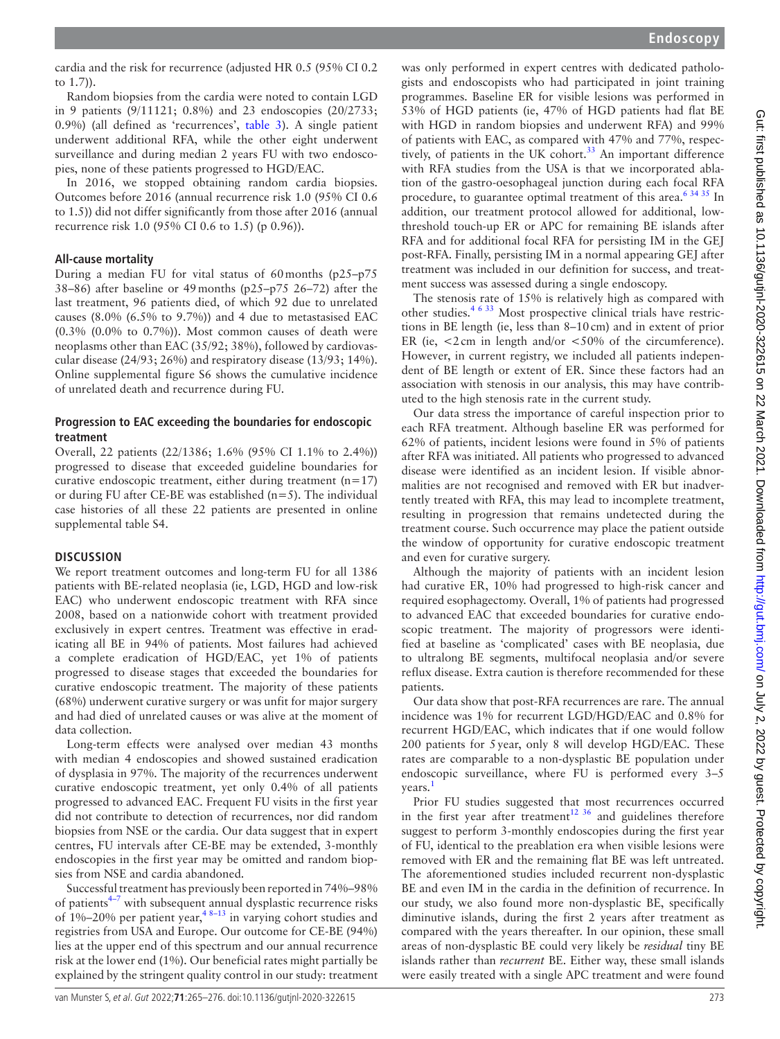cardia and the risk for recurrence (adjusted HR 0.5 (95% CI 0.2 to 1.7)).

Random biopsies from the cardia were noted to contain LGD in 9 patients (9/11121; 0.8%) and 23 endoscopies (20/2733; 0.9%) (all defined as 'recurrences', [table](#page-6-1) 3). A single patient underwent additional RFA, while the other eight underwent surveillance and during median 2 years FU with two endoscopies, none of these patients progressed to HGD/EAC.

In 2016, we stopped obtaining random cardia biopsies. Outcomes before 2016 (annual recurrence risk 1.0 (95% CI 0.6 to 1.5)) did not differ significantly from those after 2016 (annual recurrence risk 1.0 (95% CI 0.6 to 1.5) (p 0.96)).

## **All-cause mortality**

During a median FU for vital status of 60months (p25–p75 38–86) after baseline or 49months (p25–p75 26–72) after the last treatment, 96 patients died, of which 92 due to unrelated causes (8.0% (6.5% to 9.7%)) and 4 due to metastasised EAC  $(0.3\% (0.0\% to 0.7\%)).$  Most common causes of death were neoplasms other than EAC (35/92; 38%), followed by cardiovascular disease (24/93; 26%) and respiratory disease (13/93; 14%). [Online supplemental figure S6](https://dx.doi.org/10.1136/gutjnl-2020-322615) shows the cumulative incidence of unrelated death and recurrence during FU.

## **Progression to EAC exceeding the boundaries for endoscopic treatment**

Overall, 22 patients (22/1386; 1.6% (95% CI 1.1% to 2.4%)) progressed to disease that exceeded guideline boundaries for curative endoscopic treatment, either during treatment  $(n=17)$ or during FU after CE-BE was established  $(n=5)$ . The individual case histories of all these 22 patients are presented in [online](https://dx.doi.org/10.1136/gutjnl-2020-322615)  [supplemental table S4](https://dx.doi.org/10.1136/gutjnl-2020-322615).

## **DISCUSSION**

We report treatment outcomes and long-term FU for all 1386 patients with BE-related neoplasia (ie, LGD, HGD and low-risk EAC) who underwent endoscopic treatment with RFA since 2008, based on a nationwide cohort with treatment provided exclusively in expert centres. Treatment was effective in eradicating all BE in 94% of patients. Most failures had achieved a complete eradication of HGD/EAC, yet 1% of patients progressed to disease stages that exceeded the boundaries for curative endoscopic treatment. The majority of these patients (68%) underwent curative surgery or was unfit for major surgery and had died of unrelated causes or was alive at the moment of data collection.

Long-term effects were analysed over median 43 months with median 4 endoscopies and showed sustained eradication of dysplasia in 97%. The majority of the recurrences underwent curative endoscopic treatment, yet only 0.4% of all patients progressed to advanced EAC. Frequent FU visits in the first year did not contribute to detection of recurrences, nor did random biopsies from NSE or the cardia. Our data suggest that in expert centres, FU intervals after CE-BE may be extended, 3-monthly endoscopies in the first year may be omitted and random biopsies from NSE and cardia abandoned.

Successful treatment has previously been reported in 74%–98% of patients $4\frac{1}{2}$  with subsequent annual dysplastic recurrence risks of  $1\% - 20\%$  per patient year,  $4\frac{8-13}{1}$  in varying cohort studies and registries from USA and Europe. Our outcome for CE-BE (94%) lies at the upper end of this spectrum and our annual recurrence risk at the lower end (1%). Our beneficial rates might partially be explained by the stringent quality control in our study: treatment

was only performed in expert centres with dedicated pathologists and endoscopists who had participated in joint training programmes. Baseline ER for visible lesions was performed in 53% of HGD patients (ie, 47% of HGD patients had flat BE with HGD in random biopsies and underwent RFA) and 99% of patients with EAC, as compared with 47% and 77%, respectively, of patients in the UK cohort.<sup>33</sup> An important difference with RFA studies from the USA is that we incorporated ablation of the gastro-oesophageal junction during each focal RFA procedure, to guarantee optimal treatment of this area.<sup>634 35</sup> In addition, our treatment protocol allowed for additional, lowthreshold touch-up ER or APC for remaining BE islands after RFA and for additional focal RFA for persisting IM in the GEJ post-RFA. Finally, persisting IM in a normal appearing GEJ after treatment was included in our definition for success, and treatment success was assessed during a single endoscopy.

The stenosis rate of 15% is relatively high as compared with other studies.<sup>4 6 33</sup> Most prospective clinical trials have restrictions in BE length (ie, less than 8–10cm) and in extent of prior ER (ie,  $\lt 2$  cm in length and/or  $\lt 50\%$  of the circumference). However, in current registry, we included all patients independent of BE length or extent of ER. Since these factors had an association with stenosis in our analysis, this may have contributed to the high stenosis rate in the current study.

Our data stress the importance of careful inspection prior to each RFA treatment. Although baseline ER was performed for 62% of patients, incident lesions were found in 5% of patients after RFA was initiated. All patients who progressed to advanced disease were identified as an incident lesion. If visible abnormalities are not recognised and removed with ER but inadvertently treated with RFA, this may lead to incomplete treatment, resulting in progression that remains undetected during the treatment course. Such occurrence may place the patient outside the window of opportunity for curative endoscopic treatment and even for curative surgery.

Although the majority of patients with an incident lesion had curative ER, 10% had progressed to high-risk cancer and required esophagectomy. Overall, 1% of patients had progressed to advanced EAC that exceeded boundaries for curative endoscopic treatment. The majority of progressors were identified at baseline as 'complicated' cases with BE neoplasia, due to ultralong BE segments, multifocal neoplasia and/or severe reflux disease. Extra caution is therefore recommended for these patients.

Our data show that post-RFA recurrences are rare. The annual incidence was 1% for recurrent LGD/HGD/EAC and 0.8% for recurrent HGD/EAC, which indicates that if one would follow 200 patients for 5year, only 8 will develop HGD/EAC. These rates are comparable to a non-dysplastic BE population under endoscopic surveillance, where FU is performed every 3–5 years.<sup>[1](#page-10-0)</sup>

Prior FU studies suggested that most recurrences occurred in the first year after treatment<sup>12 36</sup> and guidelines therefore suggest to perform 3-monthly endoscopies during the first year of FU, identical to the preablation era when visible lesions were removed with ER and the remaining flat BE was left untreated. The aforementioned studies included recurrent non-dysplastic BE and even IM in the cardia in the definition of recurrence. In our study, we also found more non-dysplastic BE, specifically diminutive islands, during the first 2 years after treatment as compared with the years thereafter. In our opinion, these small areas of non-dysplastic BE could very likely be *residual* tiny BE islands rather than *recurrent* BE. Either way, these small islands were easily treated with a single APC treatment and were found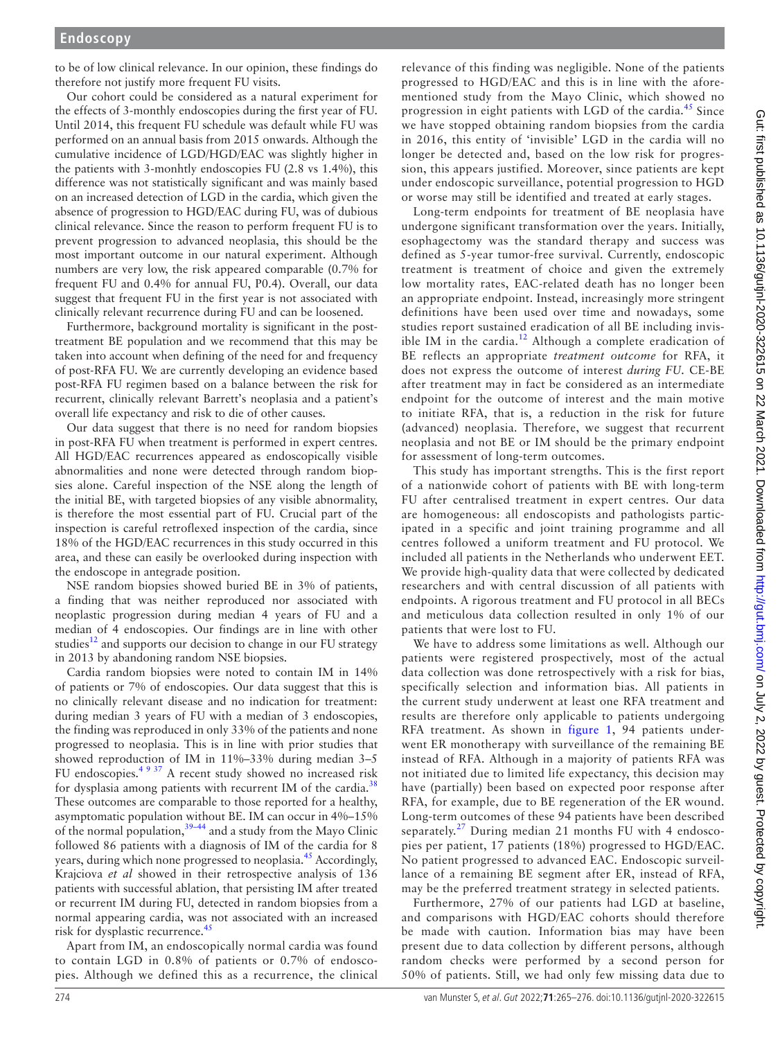to be of low clinical relevance. In our opinion, these findings do therefore not justify more frequent FU visits.

Our cohort could be considered as a natural experiment for the effects of 3-monthly endoscopies during the first year of FU. Until 2014, this frequent FU schedule was default while FU was performed on an annual basis from 2015 onwards. Although the cumulative incidence of LGD/HGD/EAC was slightly higher in the patients with 3-monhtly endoscopies FU (2.8 vs 1.4%), this difference was not statistically significant and was mainly based on an increased detection of LGD in the cardia, which given the absence of progression to HGD/EAC during FU, was of dubious clinical relevance. Since the reason to perform frequent FU is to prevent progression to advanced neoplasia, this should be the most important outcome in our natural experiment. Although numbers are very low, the risk appeared comparable (0.7% for frequent FU and 0.4% for annual FU, P0.4). Overall, our data suggest that frequent FU in the first year is not associated with clinically relevant recurrence during FU and can be loosened.

Furthermore, background mortality is significant in the posttreatment BE population and we recommend that this may be taken into account when defining of the need for and frequency of post-RFA FU. We are currently developing an evidence based post-RFA FU regimen based on a balance between the risk for recurrent, clinically relevant Barrett's neoplasia and a patient's overall life expectancy and risk to die of other causes.

Our data suggest that there is no need for random biopsies in post-RFA FU when treatment is performed in expert centres. All HGD/EAC recurrences appeared as endoscopically visible abnormalities and none were detected through random biopsies alone. Careful inspection of the NSE along the length of the initial BE, with targeted biopsies of any visible abnormality, is therefore the most essential part of FU. Crucial part of the inspection is careful retroflexed inspection of the cardia, since 18% of the HGD/EAC recurrences in this study occurred in this area, and these can easily be overlooked during inspection with the endoscope in antegrade position.

NSE random biopsies showed buried BE in 3% of patients, a finding that was neither reproduced nor associated with neoplastic progression during median 4 years of FU and a median of 4 endoscopies. Our findings are in line with other studies<sup>12</sup> and supports our decision to change in our FU strategy in 2013 by abandoning random NSE biopsies.

Cardia random biopsies were noted to contain IM in 14% of patients or 7% of endoscopies. Our data suggest that this is no clinically relevant disease and no indication for treatment: during median 3 years of FU with a median of 3 endoscopies, the finding was reproduced in only 33% of the patients and none progressed to neoplasia. This is in line with prior studies that showed reproduction of IM in 11%–33% during median 3–5 FU endoscopies.<sup>[4 9 37](#page-10-1)</sup> A recent study showed no increased risk for dysplasia among patients with recurrent IM of the cardia.<sup>[38](#page-11-9)</sup> These outcomes are comparable to those reported for a healthy, asymptomatic population without BE. IM can occur in 4%–15% of the normal population,<sup>[39–44](#page-11-10)</sup> and a study from the Mayo Clinic followed 86 patients with a diagnosis of IM of the cardia for 8 years, during which none progressed to neoplasia.<sup>45</sup> Accordingly, Krajciova *et al* showed in their retrospective analysis of 136 patients with successful ablation, that persisting IM after treated or recurrent IM during FU, detected in random biopsies from a normal appearing cardia, was not associated with an increased risk for dysplastic recurrence.<sup>[45](#page-11-11)</sup>

Apart from IM, an endoscopically normal cardia was found to contain LGD in 0.8% of patients or 0.7% of endoscopies. Although we defined this as a recurrence, the clinical

relevance of this finding was negligible. None of the patients progressed to HGD/EAC and this is in line with the aforementioned study from the Mayo Clinic, which showed no progression in eight patients with LGD of the cardia.<sup>[45](#page-11-11)</sup> Since we have stopped obtaining random biopsies from the cardia in 2016, this entity of 'invisible' LGD in the cardia will no longer be detected and, based on the low risk for progression, this appears justified. Moreover, since patients are kept under endoscopic surveillance, potential progression to HGD or worse may still be identified and treated at early stages.

Long-term endpoints for treatment of BE neoplasia have undergone significant transformation over the years. Initially, esophagectomy was the standard therapy and success was defined as 5-year tumor-free survival. Currently, endoscopic treatment is treatment of choice and given the extremely low mortality rates, EAC-related death has no longer been an appropriate endpoint. Instead, increasingly more stringent definitions have been used over time and nowadays, some studies report sustained eradication of all BE including invis-ible IM in the cardia.<sup>[12](#page-11-8)</sup> Although a complete eradication of BE reflects an appropriate *treatment outcome* for RFA, it does not express the outcome of interest *during FU*. CE-BE after treatment may in fact be considered as an intermediate endpoint for the outcome of interest and the main motive to initiate RFA, that is, a reduction in the risk for future (advanced) neoplasia. Therefore, we suggest that recurrent neoplasia and not BE or IM should be the primary endpoint for assessment of long-term outcomes.

This study has important strengths. This is the first report of a nationwide cohort of patients with BE with long-term FU after centralised treatment in expert centres. Our data are homogeneous: all endoscopists and pathologists participated in a specific and joint training programme and all centres followed a uniform treatment and FU protocol. We included all patients in the Netherlands who underwent EET. We provide high-quality data that were collected by dedicated researchers and with central discussion of all patients with endpoints. A rigorous treatment and FU protocol in all BECs and meticulous data collection resulted in only 1% of our patients that were lost to FU.

We have to address some limitations as well. Although our patients were registered prospectively, most of the actual data collection was done retrospectively with a risk for bias, specifically selection and information bias. All patients in the current study underwent at least one RFA treatment and results are therefore only applicable to patients undergoing RFA treatment. As shown in [figure](#page-2-0) 1, 94 patients underwent ER monotherapy with surveillance of the remaining BE instead of RFA. Although in a majority of patients RFA was not initiated due to limited life expectancy, this decision may have (partially) been based on expected poor response after RFA, for example, due to BE regeneration of the ER wound. Long-term outcomes of these 94 patients have been described separately.<sup>27</sup> During median 21 months FU with 4 endoscopies per patient, 17 patients (18%) progressed to HGD/EAC. No patient progressed to advanced EAC. Endoscopic surveillance of a remaining BE segment after ER, instead of RFA, may be the preferred treatment strategy in selected patients.

Furthermore, 27% of our patients had LGD at baseline, and comparisons with HGD/EAC cohorts should therefore be made with caution. Information bias may have been present due to data collection by different persons, although random checks were performed by a second person for 50% of patients. Still, we had only few missing data due to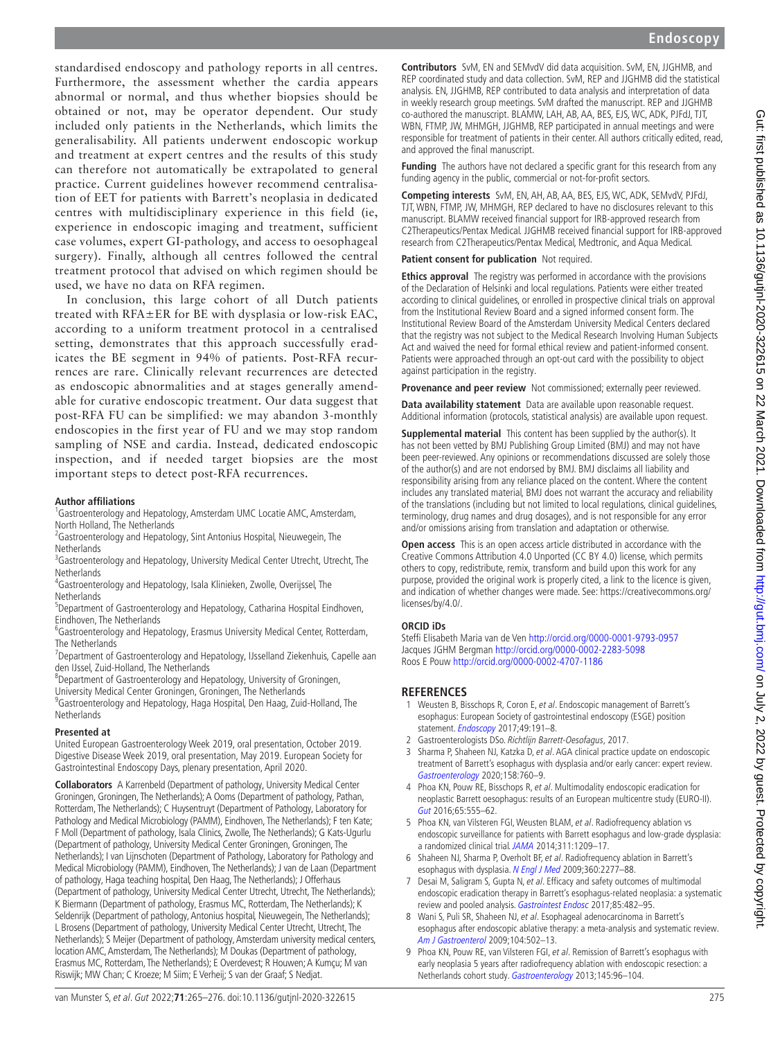standardised endoscopy and pathology reports in all centres. Furthermore, the assessment whether the cardia appears abnormal or normal, and thus whether biopsies should be obtained or not, may be operator dependent. Our study included only patients in the Netherlands, which limits the generalisability. All patients underwent endoscopic workup and treatment at expert centres and the results of this study can therefore not automatically be extrapolated to general practice. Current guidelines however recommend centralisation of EET for patients with Barrett's neoplasia in dedicated centres with multidisciplinary experience in this field (ie, experience in endoscopic imaging and treatment, sufficient case volumes, expert GI-pathology, and access to oesophageal surgery). Finally, although all centres followed the central treatment protocol that advised on which regimen should be used, we have no data on RFA regimen.

In conclusion, this large cohort of all Dutch patients treated with RFA±ER for BE with dysplasia or low-risk EAC, according to a uniform treatment protocol in a centralised setting, demonstrates that this approach successfully eradicates the BE segment in 94% of patients. Post-RFA recurrences are rare. Clinically relevant recurrences are detected as endoscopic abnormalities and at stages generally amendable for curative endoscopic treatment. Our data suggest that post-RFA FU can be simplified: we may abandon 3-monthly endoscopies in the first year of FU and we may stop random sampling of NSE and cardia. Instead, dedicated endoscopic inspection, and if needed target biopsies are the most important steps to detect post-RFA recurrences.

#### **Author affiliations**

<sup>1</sup>Gastroenterology and Hepatology, Amsterdam UMC Locatie AMC, Amsterdam, North Holland, The Netherlands

- <sup>2</sup> Gastroenterology and Hepatology, Sint Antonius Hospital, Nieuwegein, The **Netherlands**
- <sup>3</sup>Gastroenterology and Hepatology, University Medical Center Utrecht, Utrecht, The **Netherlands**
- 4 Gastroenterology and Hepatology, Isala Klinieken, Zwolle, Overijssel, The **Netherlands**
- <sup>5</sup>Department of Gastroenterology and Hepatology, Catharina Hospital Eindhoven, Eindhoven, The Netherlands
- <sup>6</sup>Gastroenterology and Hepatology, Erasmus University Medical Center, Rotterdam, The Netherlands
- <sup>7</sup>Department of Gastroenterology and Hepatology, IJsselland Ziekenhuis, Capelle aan
- den IJssel, Zuid-Holland, The Netherlands<br><sup>8</sup>Department of Gastroenterology and Hepatology, University of Groningen,
- University Medical Center Groningen, Groningen, The Netherlands <sup>9</sup>Gastroenterology and Hepatology, Haga Hospital, Den Haag, Zuid-Holland, The
- **Netherlands**

#### **Presented at**

United European Gastroenterology Week 2019, oral presentation, October 2019. Digestive Disease Week 2019, oral presentation, May 2019. European Society for Gastrointestinal Endoscopy Days, plenary presentation, April 2020.

**Collaborators** A Karrenbeld (Department of pathology, University Medical Center Groningen, Groningen, The Netherlands); A Ooms (Department of pathology, Pathan, Rotterdam, The Netherlands); C Huysentruyt (Department of Pathology, Laboratory for Pathology and Medical Microbiology (PAMM), Eindhoven, The Netherlands); F ten Kate; F Moll (Department of pathology, Isala Clinics, Zwolle, The Netherlands); G Kats-Ugurlu (Department of pathology, University Medical Center Groningen, Groningen, The Netherlands); I van Lijnschoten (Department of Pathology, Laboratory for Pathology and Medical Microbiology (PAMM), Eindhoven, The Netherlands); J van de Laan (Department of pathology, Haga teaching hospital, Den Haag, The Netherlands); J Offerhaus (Department of pathology, University Medical Center Utrecht, Utrecht, The Netherlands); K Biermann (Department of pathology, Erasmus MC, Rotterdam, The Netherlands); K Seldenrijk (Department of pathology, Antonius hospital, Nieuwegein, The Netherlands); L Brosens (Department of pathology, University Medical Center Utrecht, Utrecht, The Netherlands); S Meijer (Department of pathology, Amsterdam university medical centers, location AMC, Amsterdam, The Netherlands); M Doukas (Department of pathology, Erasmus MC, Rotterdam, The Netherlands); E Overdevest; R Houwen; A Kumçu; M van Riswijk; MW Chan; C Kroeze; M Siim; E Verheij; S van der Graaf; S Nedjat.

**Contributors** SvM, EN and SEMvdV did data acquisition. SvM, EN, JJGHMB, and REP coordinated study and data collection. SvM, REP and JJGHMB did the statistical analysis. EN, JJGHMB, REP contributed to data analysis and interpretation of data in weekly research group meetings. SvM drafted the manuscript. REP and JJGHMB co-authored the manuscript. BLAMW, LAH, AB, AA, BES, EJS, WC, ADK, PJFdJ, TJT, WBN. FTMP, JW, MHMGH, JJGHMB, REP participated in annual meetings and were responsible for treatment of patients in their center. All authors critically edited, read, and approved the final manuscript.

**Funding** The authors have not declared a specific grant for this research from any funding agency in the public, commercial or not-for-profit sectors.

**Competing interests** SvM, EN, AH, AB, AA, BES, EJS, WC, ADK, SEMvdV, PJFdJ, TJT, WBN, FTMP, JW, MHMGH, REP declared to have no disclosures relevant to this manuscript. BLAMW received financial support for IRB-approved research from C2Therapeutics/Pentax Medical. JJGHMB received financial support for IRB-approved research from C2Therapeutics/Pentax Medical, Medtronic, and Aqua Medical.

**Patient consent for publication** Not required.

**Ethics approval** The registry was performed in accordance with the provisions of the Declaration of Helsinki and local regulations. Patients were either treated according to clinical guidelines, or enrolled in prospective clinical trials on approval from the Institutional Review Board and a signed informed consent form. The Institutional Review Board of the Amsterdam University Medical Centers declared that the registry was not subject to the Medical Research Involving Human Subjects Act and waived the need for formal ethical review and patient-informed consent. Patients were approached through an opt-out card with the possibility to object against participation in the registry.

**Provenance and peer review** Not commissioned; externally peer reviewed.

**Data availability statement** Data are available upon reasonable request. Additional information (protocols, statistical analysis) are available upon request.

**Supplemental material** This content has been supplied by the author(s). It has not been vetted by BMJ Publishing Group Limited (BMJ) and may not have been peer-reviewed. Any opinions or recommendations discussed are solely those of the author(s) and are not endorsed by BMJ. BMJ disclaims all liability and responsibility arising from any reliance placed on the content. Where the content includes any translated material, BMJ does not warrant the accuracy and reliability of the translations (including but not limited to local regulations, clinical guidelines, terminology, drug names and drug dosages), and is not responsible for any error and/or omissions arising from translation and adaptation or otherwise.

**Open access** This is an open access article distributed in accordance with the Creative Commons Attribution 4.0 Unported (CC BY 4.0) license, which permits others to copy, redistribute, remix, transform and build upon this work for any purpose, provided the original work is properly cited, a link to the licence is given, and indication of whether changes were made. See: [https://creativecommons.org/](https://creativecommons.org/licenses/by/4.0/) [licenses/by/4.0/.](https://creativecommons.org/licenses/by/4.0/)

#### **ORCID iDs**

Steffi Elisabeth Maria van de Ven<http://orcid.org/0000-0001-9793-0957> Jacques JGHM Bergman<http://orcid.org/0000-0002-2283-5098> Roos E Pouw<http://orcid.org/0000-0002-4707-1186>

#### **REFERENCES**

- <span id="page-10-0"></span>1 Weusten B, Bisschops R, Coron E, et al. Endoscopic management of Barrett's esophagus: European Society of gastrointestinal endoscopy (ESGE) position statement. [Endoscopy](http://dx.doi.org/10.1055/s-0042-122140) 2017;49:191-8.
- <span id="page-10-2"></span>2 Gastroenterologists DSo. Richtlijn Barrett-Oesofagus, 2017.
- 3 Sharma P, Shaheen NJ, Katzka D, et al. AGA clinical practice update on endoscopic treatment of Barrett's esophagus with dysplasia and/or early cancer: expert review. [Gastroenterology](http://dx.doi.org/10.1053/j.gastro.2019.09.051) 2020;158:760–9.
- <span id="page-10-1"></span>4 Phoa KN, Pouw RE, Bisschops R, et al. Multimodality endoscopic eradication for neoplastic Barrett oesophagus: results of an European multicentre study (EURO-II). [Gut](http://dx.doi.org/10.1136/gutjnl-2015-309298) 2016;65:555–62.
- 5 Phoa KN, van Vilsteren FGI, Weusten BLAM, et al. Radiofrequency ablation vs endoscopic surveillance for patients with Barrett esophagus and low-grade dysplasia: a randomized clinical trial. [JAMA](http://dx.doi.org/10.1001/jama.2014.2511) 2014;311:1209–17.
- <span id="page-10-3"></span>6 Shaheen NJ, Sharma P, Overholt BF, et al. Radiofrequency ablation in Barrett's esophagus with dysplasia. [N Engl J Med](http://dx.doi.org/10.1056/NEJMoa0808145) 2009;360:2277-88.
- 7 Desai M, Saligram S, Gupta N, et al. Efficacy and safety outcomes of multimodal endoscopic eradication therapy in Barrett's esophagus-related neoplasia: a systematic review and pooled analysis. [Gastrointest Endosc](http://dx.doi.org/10.1016/j.gie.2016.09.022) 2017;85:482–95.
- 8 Wani S, Puli SR, Shaheen NJ, et al. Esophageal adenocarcinoma in Barrett's esophagus after endoscopic ablative therapy: a meta-analysis and systematic review. [Am J Gastroenterol](http://dx.doi.org/10.1038/ajg.2008.31) 2009;104:502–13.
- 9 Phoa KN, Pouw RE, van Vilsteren FGI, et al. Remission of Barrett's esophagus with early neoplasia 5 years after radiofrequency ablation with endoscopic resection: a Netherlands cohort study. [Gastroenterology](http://dx.doi.org/10.1053/j.gastro.2013.03.046) 2013;145:96–104.